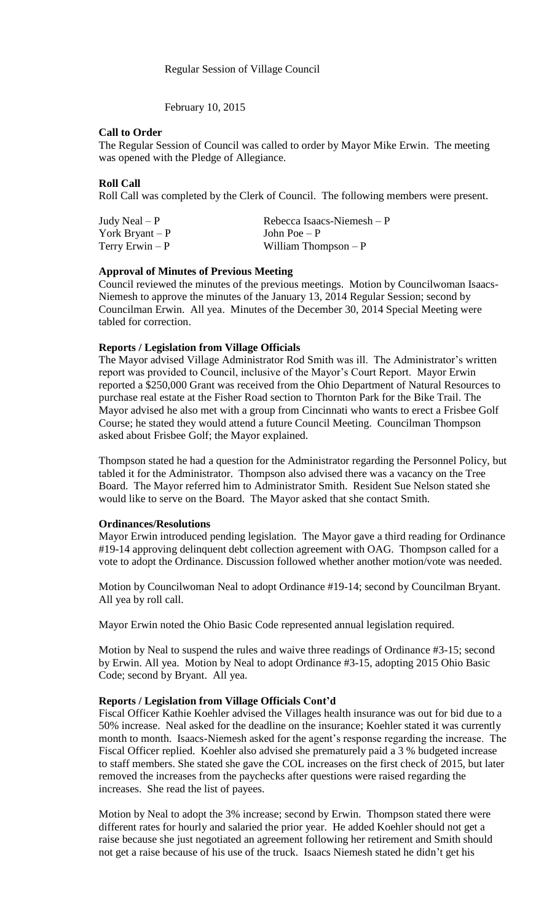February 10, 2015

### **Call to Order**

The Regular Session of Council was called to order by Mayor Mike Erwin. The meeting was opened with the Pledge of Allegiance.

# **Roll Call**

Roll Call was completed by the Clerk of Council. The following members were present.

| Judy Neal $- P$  | Rebecca Isaacs-Niemesh $-P$ |
|------------------|-----------------------------|
| York Bryant $-P$ | John Poe $-P$               |
| Terry Erwin $-P$ | William Thompson $-P$       |

# **Approval of Minutes of Previous Meeting**

Council reviewed the minutes of the previous meetings. Motion by Councilwoman Isaacs-Niemesh to approve the minutes of the January 13, 2014 Regular Session; second by Councilman Erwin. All yea. Minutes of the December 30, 2014 Special Meeting were tabled for correction.

# **Reports / Legislation from Village Officials**

The Mayor advised Village Administrator Rod Smith was ill. The Administrator's written report was provided to Council, inclusive of the Mayor's Court Report. Mayor Erwin reported a \$250,000 Grant was received from the Ohio Department of Natural Resources to purchase real estate at the Fisher Road section to Thornton Park for the Bike Trail. The Mayor advised he also met with a group from Cincinnati who wants to erect a Frisbee Golf Course; he stated they would attend a future Council Meeting. Councilman Thompson asked about Frisbee Golf; the Mayor explained.

Thompson stated he had a question for the Administrator regarding the Personnel Policy, but tabled it for the Administrator. Thompson also advised there was a vacancy on the Tree Board. The Mayor referred him to Administrator Smith. Resident Sue Nelson stated she would like to serve on the Board. The Mayor asked that she contact Smith.

#### **Ordinances/Resolutions**

Mayor Erwin introduced pending legislation. The Mayor gave a third reading for Ordinance #19-14 approving delinquent debt collection agreement with OAG. Thompson called for a vote to adopt the Ordinance. Discussion followed whether another motion/vote was needed.

Motion by Councilwoman Neal to adopt Ordinance #19-14; second by Councilman Bryant. All yea by roll call.

Mayor Erwin noted the Ohio Basic Code represented annual legislation required.

Motion by Neal to suspend the rules and waive three readings of Ordinance #3-15; second by Erwin. All yea. Motion by Neal to adopt Ordinance #3-15, adopting 2015 Ohio Basic Code; second by Bryant. All yea.

#### **Reports / Legislation from Village Officials Cont'd**

Fiscal Officer Kathie Koehler advised the Villages health insurance was out for bid due to a 50% increase. Neal asked for the deadline on the insurance; Koehler stated it was currently month to month. Isaacs-Niemesh asked for the agent's response regarding the increase. The Fiscal Officer replied. Koehler also advised she prematurely paid a 3 % budgeted increase to staff members. She stated she gave the COL increases on the first check of 2015, but later removed the increases from the paychecks after questions were raised regarding the increases. She read the list of payees.

Motion by Neal to adopt the 3% increase; second by Erwin. Thompson stated there were different rates for hourly and salaried the prior year. He added Koehler should not get a raise because she just negotiated an agreement following her retirement and Smith should not get a raise because of his use of the truck. Isaacs Niemesh stated he didn't get his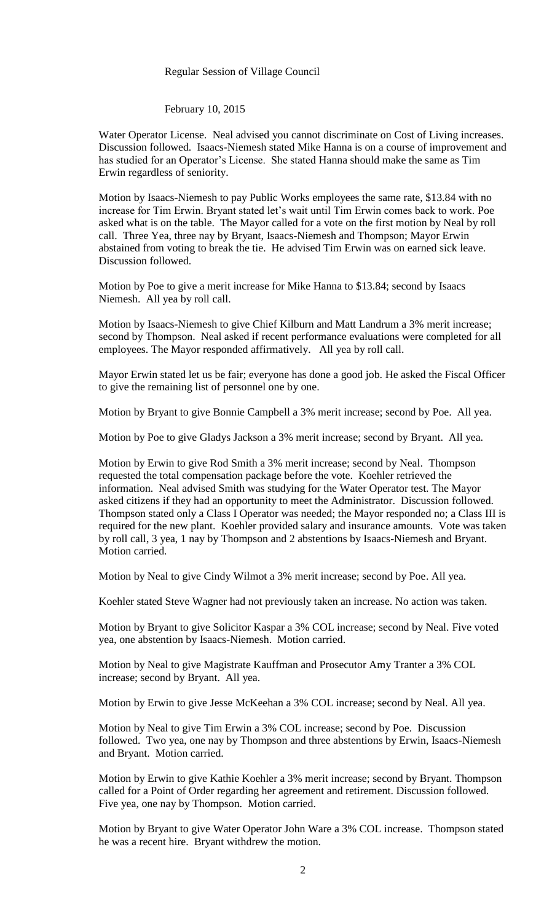#### Regular Session of Village Council

February 10, 2015

Water Operator License. Neal advised you cannot discriminate on Cost of Living increases. Discussion followed. Isaacs-Niemesh stated Mike Hanna is on a course of improvement and has studied for an Operator's License. She stated Hanna should make the same as Tim Erwin regardless of seniority.

Motion by Isaacs-Niemesh to pay Public Works employees the same rate, \$13.84 with no increase for Tim Erwin. Bryant stated let's wait until Tim Erwin comes back to work. Poe asked what is on the table. The Mayor called for a vote on the first motion by Neal by roll call. Three Yea, three nay by Bryant, Isaacs-Niemesh and Thompson; Mayor Erwin abstained from voting to break the tie. He advised Tim Erwin was on earned sick leave. Discussion followed.

Motion by Poe to give a merit increase for Mike Hanna to \$13.84; second by Isaacs Niemesh. All yea by roll call.

Motion by Isaacs-Niemesh to give Chief Kilburn and Matt Landrum a 3% merit increase; second by Thompson. Neal asked if recent performance evaluations were completed for all employees. The Mayor responded affirmatively. All yea by roll call.

Mayor Erwin stated let us be fair; everyone has done a good job. He asked the Fiscal Officer to give the remaining list of personnel one by one.

Motion by Bryant to give Bonnie Campbell a 3% merit increase; second by Poe. All yea.

Motion by Poe to give Gladys Jackson a 3% merit increase; second by Bryant. All yea.

Motion by Erwin to give Rod Smith a 3% merit increase; second by Neal. Thompson requested the total compensation package before the vote. Koehler retrieved the information. Neal advised Smith was studying for the Water Operator test. The Mayor asked citizens if they had an opportunity to meet the Administrator. Discussion followed. Thompson stated only a Class I Operator was needed; the Mayor responded no; a Class III is required for the new plant. Koehler provided salary and insurance amounts. Vote was taken by roll call, 3 yea, 1 nay by Thompson and 2 abstentions by Isaacs-Niemesh and Bryant. Motion carried.

Motion by Neal to give Cindy Wilmot a 3% merit increase; second by Poe. All yea.

Koehler stated Steve Wagner had not previously taken an increase. No action was taken.

Motion by Bryant to give Solicitor Kaspar a 3% COL increase; second by Neal. Five voted yea, one abstention by Isaacs-Niemesh. Motion carried.

Motion by Neal to give Magistrate Kauffman and Prosecutor Amy Tranter a 3% COL increase; second by Bryant. All yea.

Motion by Erwin to give Jesse McKeehan a 3% COL increase; second by Neal. All yea.

Motion by Neal to give Tim Erwin a 3% COL increase; second by Poe. Discussion followed. Two yea, one nay by Thompson and three abstentions by Erwin, Isaacs-Niemesh and Bryant. Motion carried.

Motion by Erwin to give Kathie Koehler a 3% merit increase; second by Bryant. Thompson called for a Point of Order regarding her agreement and retirement. Discussion followed. Five yea, one nay by Thompson. Motion carried.

Motion by Bryant to give Water Operator John Ware a 3% COL increase. Thompson stated he was a recent hire. Bryant withdrew the motion.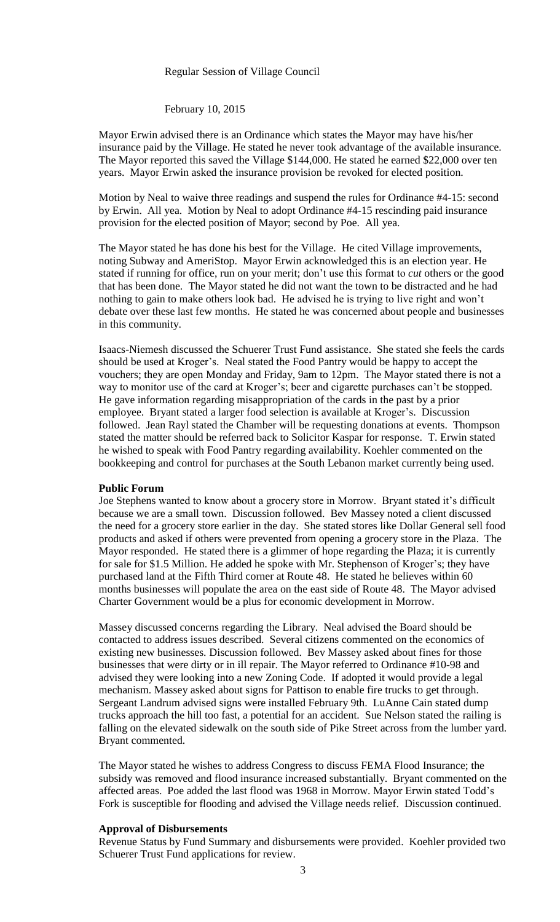#### Regular Session of Village Council

February 10, 2015

Mayor Erwin advised there is an Ordinance which states the Mayor may have his/her insurance paid by the Village. He stated he never took advantage of the available insurance. The Mayor reported this saved the Village \$144,000. He stated he earned \$22,000 over ten years. Mayor Erwin asked the insurance provision be revoked for elected position.

Motion by Neal to waive three readings and suspend the rules for Ordinance #4-15: second by Erwin. All yea. Motion by Neal to adopt Ordinance #4-15 rescinding paid insurance provision for the elected position of Mayor; second by Poe. All yea.

The Mayor stated he has done his best for the Village. He cited Village improvements, noting Subway and AmeriStop. Mayor Erwin acknowledged this is an election year. He stated if running for office, run on your merit; don't use this format to *cut* others or the good that has been done. The Mayor stated he did not want the town to be distracted and he had nothing to gain to make others look bad. He advised he is trying to live right and won't debate over these last few months. He stated he was concerned about people and businesses in this community.

Isaacs-Niemesh discussed the Schuerer Trust Fund assistance. She stated she feels the cards should be used at Kroger's. Neal stated the Food Pantry would be happy to accept the vouchers; they are open Monday and Friday, 9am to 12pm. The Mayor stated there is not a way to monitor use of the card at Kroger's; beer and cigarette purchases can't be stopped. He gave information regarding misappropriation of the cards in the past by a prior employee. Bryant stated a larger food selection is available at Kroger's. Discussion followed. Jean Rayl stated the Chamber will be requesting donations at events. Thompson stated the matter should be referred back to Solicitor Kaspar for response. T. Erwin stated he wished to speak with Food Pantry regarding availability. Koehler commented on the bookkeeping and control for purchases at the South Lebanon market currently being used.

#### **Public Forum**

Joe Stephens wanted to know about a grocery store in Morrow. Bryant stated it's difficult because we are a small town. Discussion followed. Bev Massey noted a client discussed the need for a grocery store earlier in the day. She stated stores like Dollar General sell food products and asked if others were prevented from opening a grocery store in the Plaza. The Mayor responded. He stated there is a glimmer of hope regarding the Plaza; it is currently for sale for \$1.5 Million. He added he spoke with Mr. Stephenson of Kroger's; they have purchased land at the Fifth Third corner at Route 48. He stated he believes within 60 months businesses will populate the area on the east side of Route 48. The Mayor advised Charter Government would be a plus for economic development in Morrow.

Massey discussed concerns regarding the Library. Neal advised the Board should be contacted to address issues described. Several citizens commented on the economics of existing new businesses. Discussion followed. Bev Massey asked about fines for those businesses that were dirty or in ill repair. The Mayor referred to Ordinance #10-98 and advised they were looking into a new Zoning Code. If adopted it would provide a legal mechanism. Massey asked about signs for Pattison to enable fire trucks to get through. Sergeant Landrum advised signs were installed February 9th. LuAnne Cain stated dump trucks approach the hill too fast, a potential for an accident. Sue Nelson stated the railing is falling on the elevated sidewalk on the south side of Pike Street across from the lumber yard. Bryant commented.

The Mayor stated he wishes to address Congress to discuss FEMA Flood Insurance; the subsidy was removed and flood insurance increased substantially. Bryant commented on the affected areas. Poe added the last flood was 1968 in Morrow. Mayor Erwin stated Todd's Fork is susceptible for flooding and advised the Village needs relief. Discussion continued.

# **Approval of Disbursements**

Revenue Status by Fund Summary and disbursements were provided. Koehler provided two Schuerer Trust Fund applications for review.